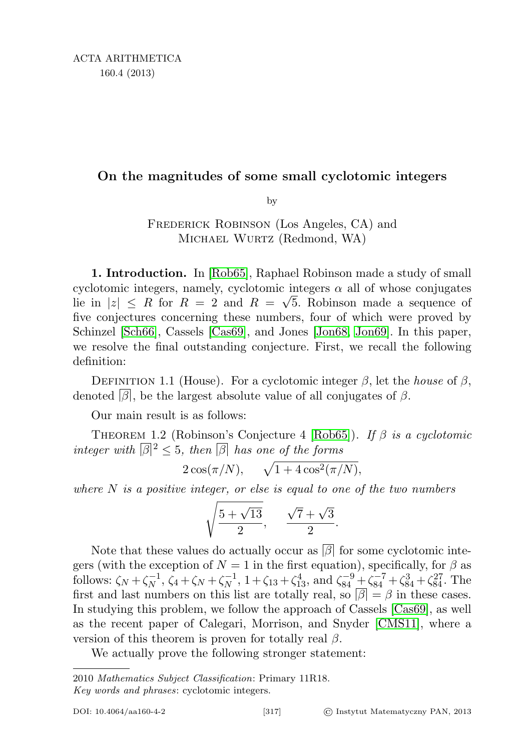### On the magnitudes of some small cyclotomic integers

by

FREDERICK ROBINSON (Los Angeles, CA) and Michael Wurtz (Redmond, WA)

1. Introduction. In [\[Rob65\]](#page-15-0), Raphael Robinson made a study of small cyclotomic integers, namely, cyclotomic integers  $\alpha$  all of whose conjugates lie in  $|z| \leq R$  for  $R = 2$  and  $R = \sqrt{5}$ . Robinson made a sequence of five conjectures concerning these numbers, four of which were proved by Schinzel [\[Sch66\]](#page-15-1), Cassels [\[Cas69\]](#page-15-2), and Jones [\[Jon68,](#page-15-3) [Jon69\]](#page-15-4). In this paper, we resolve the final outstanding conjecture. First, we recall the following definition:

DEFINITION 1.1 (House). For a cyclotomic integer  $\beta$ , let the *house* of  $\beta$ , denoted  $\beta$ , be the largest absolute value of all conjugates of  $\beta$ .

Our main result is as follows:

<span id="page-0-0"></span>THEOREM 1.2 (Robinson's Conjecture 4 [\[Rob65\]](#page-15-0)). If  $\beta$  is a cyclotomic integer with  $\lvert \beta \rvert^2 \leq 5$ , then  $\lvert \beta \rvert$  has one of the forms

$$
2\cos(\pi/N), \quad \sqrt{1+4\cos^2(\pi/N)},
$$

where  $N$  is a positive integer, or else is equal to one of the two numbers

$$
\sqrt{\frac{5+\sqrt{13}}{2}}, \quad \frac{\sqrt{7}+\sqrt{3}}{2}.
$$

Note that these values do actually occur as  $|\beta|$  for some cyclotomic integers (with the exception of  $N = 1$  in the first equation), specifically, for  $\beta$  as follows:  $\zeta_N + \zeta_N^{-1}$  $\zeta_N^{-1}, \, \zeta_4 + \zeta_N + \zeta_N^{-1}$  $\zeta_{N}^{-1}$ ,  $1 + \zeta_{13} + \zeta_{13}^{4}$ , and  $\zeta_{84}^{-9} + \zeta_{84}^{-7} + \zeta_{84}^{3} + \zeta_{84}^{27}$ . The first and last numbers on this list are totally real, so  $\beta = \beta$  in these cases. In studying this problem, we follow the approach of Cassels [\[Cas69\]](#page-15-2), as well as the recent paper of Calegari, Morrison, and Snyder [\[CMS11\]](#page-15-5), where a version of this theorem is proven for totally real  $\beta$ .

We actually prove the following stronger statement:

<span id="page-0-1"></span><sup>2010</sup> Mathematics Subject Classification: Primary 11R18.

Key words and phrases: cyclotomic integers.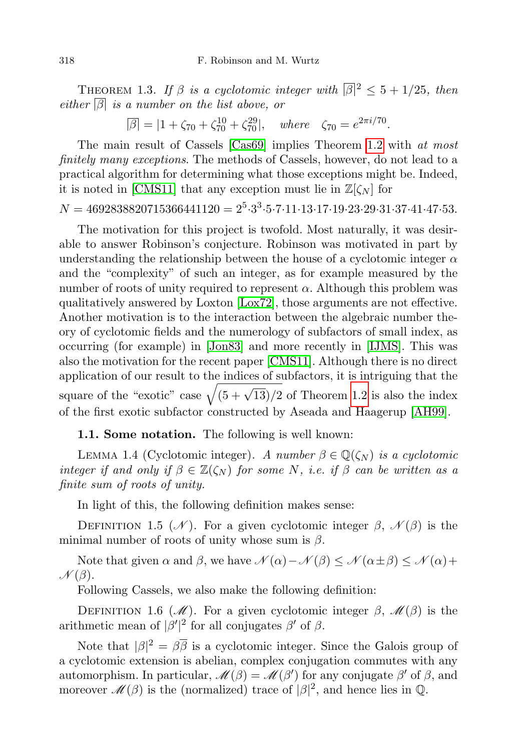THEOREM 1.3. If  $\beta$  is a cyclotomic integer with  $\lvert \beta \rvert^2 \leq 5 + 1/25$ , then either  $\boxed{\beta}$  is a number on the list above, or

 $\overline{\beta}$  = |1 +  $\zeta_{70}$  +  $\zeta_{70}^{10}$  +  $\zeta_{70}^{29}$ |, where  $\zeta_{70} = e^{2\pi i/70}$ .

The main result of Cassels [\[Cas69\]](#page-15-2) implies Theorem [1.2](#page-0-0) with at most finitely many exceptions. The methods of Cassels, however, do not lead to a practical algorithm for determining what those exceptions might be. Indeed, it is noted in [\[CMS11\]](#page-15-5) that any exception must lie in  $\mathbb{Z}[\zeta_N]$  for

# $N = 4692838820715366441120 = 2^5 \cdot 3^3 \cdot 5 \cdot 7 \cdot 11 \cdot 13 \cdot 17 \cdot 19 \cdot 23 \cdot 29 \cdot 31 \cdot 37 \cdot 41 \cdot 47 \cdot 53.$

The motivation for this project is twofold. Most naturally, it was desirable to answer Robinson's conjecture. Robinson was motivated in part by understanding the relationship between the house of a cyclotomic integer  $\alpha$ and the "complexity" of such an integer, as for example measured by the number of roots of unity required to represent  $\alpha$ . Although this problem was qualitatively answered by Loxton [\[Lox72\]](#page-15-6), those arguments are not effective. Another motivation is to the interaction between the algebraic number theory of cyclotomic fields and the numerology of subfactors of small index, as occurring (for example) in [\[Jon83\]](#page-15-7) and more recently in [\[IJMS\]](#page-15-8). This was also the motivation for the recent paper [\[CMS11\]](#page-15-5). Although there is no direct application of our result to the indices of subfactors, it is intriguing that the square of the "exotic" case  $\sqrt{(5 + \sqrt{13})/2}$  of Theorem [1.2](#page-0-0) is also the index of the first exotic subfactor constructed by Aseada and Haagerup [\[AH99\]](#page-15-9).

### 1.1. Some notation. The following is well known:

LEMMA 1.4 (Cyclotomic integer). A number  $\beta \in \mathbb{Q}(\zeta_N)$  is a cyclotomic integer if and only if  $\beta \in \mathbb{Z}(\zeta_N)$  for some N, i.e. if  $\beta$  can be written as a finite sum of roots of unity.

In light of this, the following definition makes sense:

DEFINITION 1.5 (N). For a given cyclotomic integer  $\beta$ ,  $\mathcal{N}(\beta)$  is the minimal number of roots of unity whose sum is  $\beta$ .

Note that given  $\alpha$  and  $\beta$ , we have  $\mathcal{N}(\alpha) - \mathcal{N}(\beta) \leq \mathcal{N}(\alpha \pm \beta) \leq \mathcal{N}(\alpha) + \beta$  $\mathcal{N}(\beta)$ .

Following Cassels, we also make the following definition:

DEFINITION 1.6 (M). For a given cyclotomic integer  $\beta$ ,  $\mathcal{M}(\beta)$  is the arithmetic mean of  $|\beta'|^2$  for all conjugates  $\beta'$  of  $\beta$ .

Note that  $|\beta|^2 = \beta \overline{\beta}$  is a cyclotomic integer. Since the Galois group of a cyclotomic extension is abelian, complex conjugation commutes with any automorphism. In particular,  $\mathcal{M}(\beta) = \mathcal{M}(\beta')$  for any conjugate  $\beta'$  of  $\beta$ , and moreover  $\mathcal{M}(\beta)$  is the (normalized) trace of  $|\beta|^2$ , and hence lies in Q.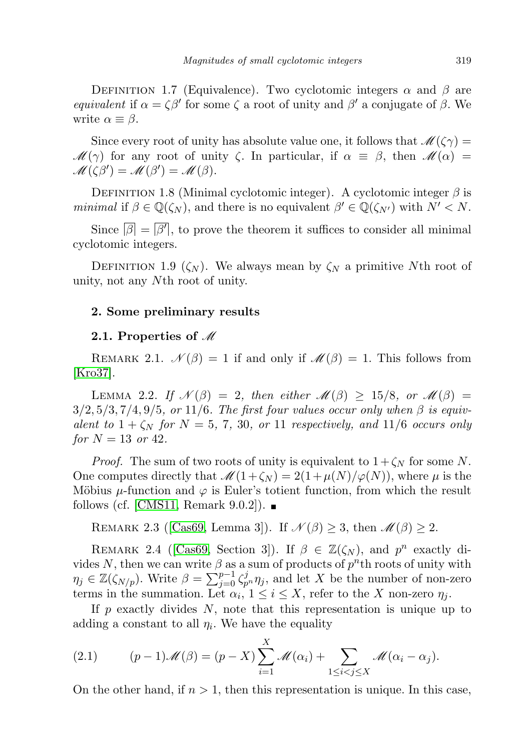DEFINITION 1.7 (Equivalence). Two cyclotomic integers  $\alpha$  and  $\beta$  are equivalent if  $\alpha = \zeta \beta'$  for some  $\zeta$  a root of unity and  $\beta'$  a conjugate of  $\beta$ . We write  $\alpha \equiv \beta$ .

Since every root of unity has absolute value one, it follows that  $\mathscr{M}(\zeta\gamma) =$  $\mathscr{M}(\gamma)$  for any root of unity  $\zeta$ . In particular, if  $\alpha \equiv \beta$ , then  $\mathscr{M}(\alpha) =$  $\mathscr{M}(\zeta\beta') = \mathscr{M}(\beta') = \mathscr{M}(\beta).$ 

<span id="page-2-0"></span>DEFINITION 1.8 (Minimal cyclotomic integer). A cyclotomic integer  $\beta$  is minimal if  $\beta \in \mathbb{Q}(\zeta_N)$ , and there is no equivalent  $\beta' \in \mathbb{Q}(\zeta_{N'})$  with  $N' < N$ .

Since  $[\beta] = [\beta']$ , to prove the theorem it suffices to consider all minimal cyclotomic integers.

DEFINITION 1.9 ( $\zeta_N$ ). We always mean by  $\zeta_N$  a primitive Nth root of unity, not any Nth root of unity.

### 2. Some preliminary results

#### 2.1. Properties of  $\mathcal M$

REMARK 2.1.  $\mathcal{N}(\beta) = 1$  if and only if  $\mathcal{M}(\beta) = 1$ . This follows from [\[Kro37\]](#page-15-10).

LEMMA 2.2. If  $\mathcal{N}(\beta) = 2$ , then either  $\mathcal{M}(\beta) \geq 15/8$ , or  $\mathcal{M}(\beta) =$  $3/2, 5/3, 7/4, 9/5,$  or 11/6. The first four values occur only when  $\beta$  is equivalent to  $1 + \zeta_N$  for  $N = 5, 7, 30,$  or 11 respectively, and 11/6 occurs only for  $N = 13$  or 42.

*Proof.* The sum of two roots of unity is equivalent to  $1 + \zeta_N$  for some N. One computes directly that  $\mathcal{M}(1+\zeta_N) = 2(1+\mu(N)/\varphi(N))$ , where  $\mu$  is the Möbius  $\mu$ -function and  $\varphi$  is Euler's totient function, from which the result follows (cf. [\[CMS11,](#page-15-5) Remark 9.0.2]).  $\blacksquare$ 

REMARK 2.3 ([\[Cas69,](#page-15-2) Lemma 3]). If  $\mathcal{N}(\beta) \geq 3$ , then  $\mathcal{M}(\beta) \geq 2$ .

REMARK 2.4 ([\[Cas69,](#page-15-2) Section 3]). If  $\beta \in \mathbb{Z}(\zeta_N)$ , and  $p^n$  exactly divides N, then we can write  $\beta$  as a sum of products of  $p^n$ th roots of unity with  $\eta_j \in \mathbb{Z}(\zeta_{N/p})$ . Write  $\beta = \sum_{j=0}^{p-1} \zeta_{p}^j \eta_j$ , and let X be the number of non-zero terms in the summation. Let  $\alpha_i$ ,  $1 \leq i \leq X$ , refer to the X non-zero  $\eta_j$ .

If  $p$  exactly divides  $N$ , note that this representation is unique up to adding a constant to all  $\eta_i$ . We have the equality

<span id="page-2-1"></span>(2.1) 
$$
(p-1)\mathscr{M}(\beta) = (p-X)\sum_{i=1}^X \mathscr{M}(\alpha_i) + \sum_{1 \leq i < j \leq X} \mathscr{M}(\alpha_i - \alpha_j).
$$

On the other hand, if  $n > 1$ , then this representation is unique. In this case,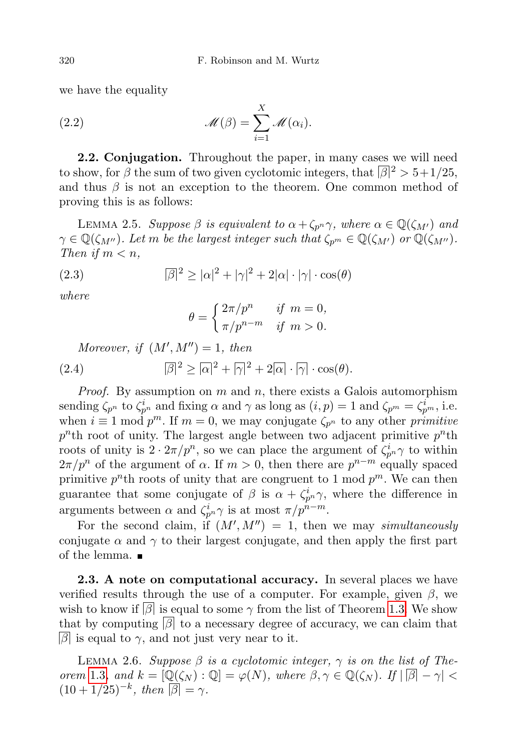we have the equality

(2.2) 
$$
\mathscr{M}(\beta) = \sum_{i=1}^X \mathscr{M}(\alpha_i).
$$

**2.2. Conjugation.** Throughout the paper, in many cases we will need to show, for  $\beta$  the sum of two given cyclotomic integers, that  $\beta$ <sup>2</sup> > 5+1/25, and thus  $\beta$  is not an exception to the theorem. One common method of proving this is as follows:

<span id="page-3-0"></span>LEMMA 2.5. Suppose  $\beta$  is equivalent to  $\alpha + \zeta_{p^n} \gamma$ , where  $\alpha \in \mathbb{Q}(\zeta_{M'})$  and  $\gamma \in \mathbb{Q}(\zeta_{M''})$ . Let m be the largest integer such that  $\zeta_{p^m} \in \mathbb{Q}(\zeta_{M'})$  or  $\mathbb{Q}(\zeta_{M''})$ . Then if  $m < n$ ,

(2.3) 
$$
\overline{\beta}|^2 \ge |\alpha|^2 + |\gamma|^2 + 2|\alpha| \cdot |\gamma| \cdot \cos(\theta)
$$

where

$$
\theta = \begin{cases} 2\pi/p^n & \text{if } m = 0, \\ \pi/p^{n-m} & \text{if } m > 0. \end{cases}
$$

Moreover, if  $(M', M'') = 1$ , then

(2.4) 
$$
\overline{|\beta|^2} \geq |\alpha|^2 + |\gamma|^2 + 2|\alpha| \cdot |\gamma| \cdot \cos(\theta).
$$

*Proof.* By assumption on m and n, there exists a Galois automorphism sending  $\zeta_{p^n}$  to  $\zeta_{p^n}^i$  and fixing  $\alpha$  and  $\gamma$  as long as  $(i, p) = 1$  and  $\zeta_{p^m} = \zeta_{p^m}^i$ , i.e. when  $i \equiv 1 \mod p^m$ . If  $m = 0$ , we may conjugate  $\zeta_{p^n}$  to any other primitive  $p^n$ th root of unity. The largest angle between two adjacent primitive  $p^n$ th roots of unity is  $2 \cdot 2\pi/p^n$ , so we can place the argument of  $\zeta_{p^n}^i \gamma$  to within  $2\pi/p^n$  of the argument of  $\alpha$ . If  $m>0$ , then there are  $p^{n-m}$  equally spaced primitive  $p^n$ <sup>th</sup> roots of unity that are congruent to 1 mod  $p^m$ . We can then guarantee that some conjugate of  $\beta$  is  $\alpha + \zeta_{p}^i$ , where the difference in arguments between  $\alpha$  and  $\zeta_{p^n}^i \gamma$  is at most  $\pi/p^{n-m}$ .

For the second claim, if  $(M', M'') = 1$ , then we may simultaneously conjugate  $\alpha$  and  $\gamma$  to their largest conjugate, and then apply the first part of the lemma.

2.3. A note on computational accuracy. In several places we have verified results through the use of a computer. For example, given  $\beta$ , we wish to know if  $\beta$  is equal to some  $\gamma$  from the list of Theorem [1.3.](#page-0-1) We show that by computing  $\beta$  to a necessary degree of accuracy, we can claim that  $|\beta|$  is equal to  $\gamma$ , and not just very near to it.

LEMMA 2.6. Suppose  $\beta$  is a cyclotomic integer,  $\gamma$  is on the list of The-orem [1.3](#page-0-1), and  $k = [\mathbb{Q}(\zeta_N) : \mathbb{Q}] = \varphi(N)$ , where  $\beta, \gamma \in \mathbb{Q}(\zeta_N)$ . If  $|\mathbb{B}| - \gamma|$  $(10+1/25)^{-k}$ , then  $\overline{\beta} = \gamma$ .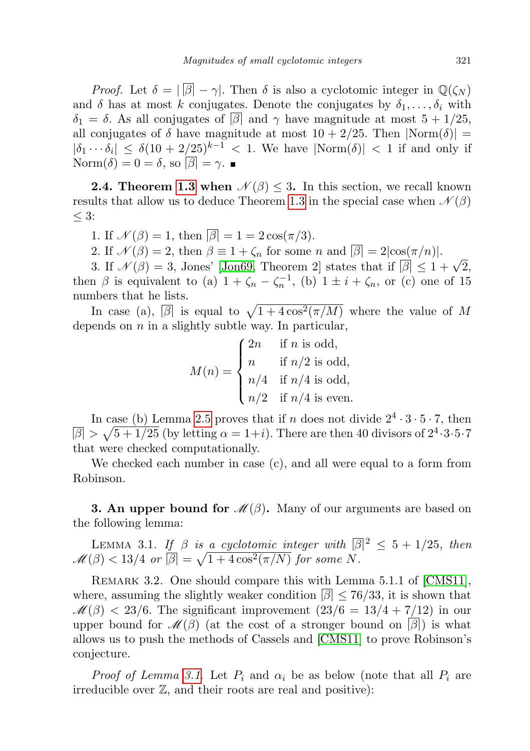*Proof.* Let  $\delta = |\overline{\beta}| - \gamma$ . Then  $\delta$  is also a cyclotomic integer in  $\mathbb{Q}(\zeta_N)$ and  $\delta$  has at most k conjugates. Denote the conjugates by  $\delta_1, \ldots, \delta_i$  with  $\delta_1 = \delta$ . As all conjugates of  $\beta$  and  $\gamma$  have magnitude at most  $5 + 1/25$ , all conjugates of  $\delta$  have magnitude at most  $10 + 2/25$ . Then  $|Norm(\delta)| =$  $|\delta_1 \cdots \delta_i| \leq \delta (10 + 2/25)^{k-1} < 1$ . We have  $|\text{Norm}(\delta)| < 1$  if and only if Norm $(\delta) = 0 = \delta$ , so  $|\beta| = \gamma$ .

**2.4. Theorem [1.3](#page-0-1) when**  $\mathcal{N}(\beta) \leq 3$ . In this section, we recall known results that allow us to deduce Theorem [1.3](#page-0-1) in the special case when  $\mathcal{N}(\beta)$  $\leq 3$ :

1. If  $\mathcal{N}(\beta) = 1$ , then  $|\beta| = 1 = 2\cos(\pi/3)$ .

2. If  $\mathcal{N}(\beta) = 2$ , then  $\beta \equiv 1 + \zeta_n$  for some n and  $|\beta| = 2|\cos(\pi/n)|$ .

2. If  $\mathcal{N}(\beta) = 2$ , then  $\beta = 1 + \zeta_n$  for some *n* and  $|\beta| = 2|\cos(\pi/n)|$ .<br>3. If  $\mathcal{N}(\beta) = 3$ , Jones' [\[Jon69,](#page-15-4) Theorem 2] states that if  $|\beta| \leq 1 + \sqrt{2}$ , then  $\beta$  is equivalent to (a)  $1 + \zeta_n - \zeta_n^{-1}$ , (b)  $1 \pm i + \zeta_n$ , or (c) one of 15 numbers that he lists.

In case (a),  $\boxed{\beta}$  is equal to  $\sqrt{1 + 4\cos^2(\pi/M)}$  where the value of M depends on  $n$  in a slightly subtle way. In particular,

$$
M(n) = \begin{cases} 2n & \text{if } n \text{ is odd,} \\ n & \text{if } n/2 \text{ is odd,} \\ n/4 & \text{if } n/4 \text{ is odd,} \\ n/2 & \text{if } n/4 \text{ is even.} \end{cases}
$$

In case (b) Lemma [2.5](#page-3-0) proves that if n does not divide  $2^4 \cdot 3 \cdot 5 \cdot 7$ , then  $\overline{\beta}$  >  $\sqrt{5+1/25}$  (by letting  $\alpha = 1+i$ ). There are then 40 divisors of  $2^4 \cdot 3 \cdot 5 \cdot 7$ that were checked computationally.

We checked each number in case (c), and all were equal to a form from Robinson.

**3. An upper bound for**  $\mathcal{M}(\beta)$ . Many of our arguments are based on the following lemma:

<span id="page-4-0"></span>LEMMA 3.1. If  $\beta$  is a cyclotomic integer with  $\lvert \overline{\beta} \rvert^2 \leq 5 + 1/25$ , then  $\mathscr{M}(\beta) < 13/4$  or  $\overline{\beta}$  =  $\sqrt{1+4\cos^2(\pi/N)}$  for some N.

REMARK 3.2. One should compare this with Lemma 5.1.1 of [\[CMS11\]](#page-15-5), where, assuming the slightly weaker condition  $\lfloor \beta \rfloor \leq 76/33$ , it is shown that  $\mathcal{M}(\beta) < 23/6$ . The significant improvement  $(23/6 = 13/4 + 7/12)$  in our upper bound for  $\mathscr{M}(\beta)$  (at the cost of a stronger bound on  $\beta$ ) is what allows us to push the methods of Cassels and [\[CMS11\]](#page-15-5) to prove Robinson's conjecture.

*Proof of Lemma [3.1](#page-4-0).* Let  $P_i$  and  $\alpha_i$  be as below (note that all  $P_i$  are irreducible over  $\mathbb{Z}$ , and their roots are real and positive):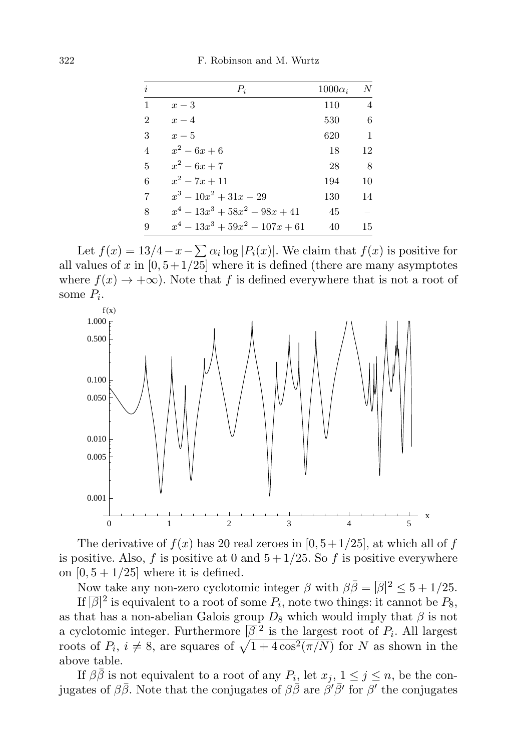| i              | $P_i$                             | $1000\alpha_i$ | N              |
|----------------|-----------------------------------|----------------|----------------|
| $\mathbf{1}$   | $x-3$                             | 110            | $\overline{4}$ |
| $\overline{2}$ | $x-4$                             | 530            | 6              |
| 3              | $x-5$                             | 620            | 1              |
| $\overline{4}$ | $x^2-6x+6$                        | 18             | 12             |
| $\overline{5}$ | $x^2-6x+7$                        | 28             | -8             |
| 6              | $x^2 - 7x + 11$                   | 194            | 10             |
| $\overline{7}$ | $x^3-10x^2+31x-29$                | 130            | 14             |
| 8              | $x^4 - 13x^3 + 58x^2 - 98x + 41$  | 45             |                |
| 9              | $x^4 - 13x^3 + 59x^2 - 107x + 61$ | 40             | 15             |

Let  $f(x) = 13/4 - x - \sum \alpha_i \log |P_i(x)|$ . We claim that  $f(x)$  is positive for all values of x in  $[0, 5+1/25]$  where it is defined (there are many asymptotes where  $f(x) \to +\infty$ ). Note that f is defined everywhere that is not a root of some  $P_i$ .



The derivative of  $f(x)$  has 20 real zeroes in [0, 5+1/25], at which all of f is positive. Also, f is positive at 0 and  $5 + 1/25$ . So f is positive everywhere on  $[0, 5 + 1/25]$  where it is defined.

Now take any non-zero cyclotomic integer  $\beta$  with  $\beta \overline{\beta} = |\overline{\beta}|^2 \leq 5 + 1/25$ .

If  $\lbrack\beta\rbrack^2$  is equivalent to a root of some  $P_i,$  note two things: it cannot be  $P_8,$ as that has a non-abelian Galois group  $D_8$  which would imply that  $\beta$  is not a cyclotomic integer. Furthermore  $\lbrack \beta \rbrack^2$  is the largest root of  $P_i$ . All largest roots of  $P_i$ ,  $i \neq 8$ , are squares of  $\sqrt{1 + 4\cos^2(\pi/N)}$  for N as shown in the above table.

If  $\beta \bar{\beta}$  is not equivalent to a root of any  $P_i$ , let  $x_j$ ,  $1 \leq j \leq n$ , be the conjugates of  $\beta\bar{\beta}$ . Note that the conjugates of  $\beta\bar{\beta}$  are  $\beta'\bar{\beta}'$  for  $\beta'$  the conjugates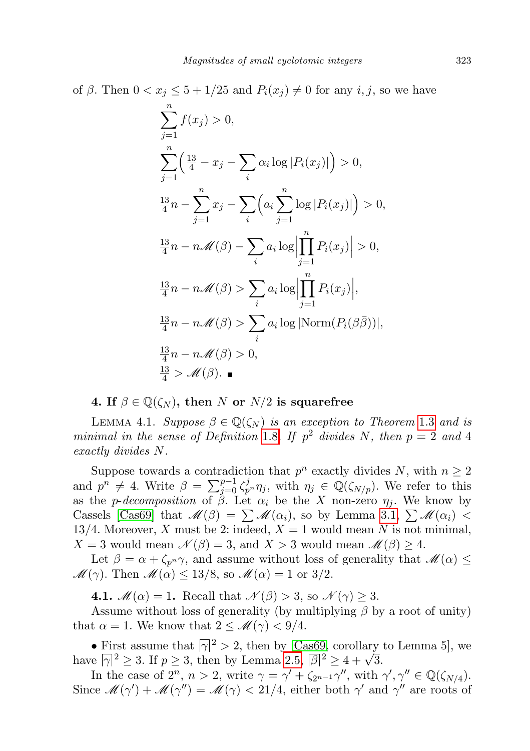of  $\beta$ . Then  $0 < x_j \leq 5 + 1/25$  and  $P_i(x_j) \neq 0$  for any  $i, j$ , so we have

$$
\sum_{j=1}^{n} f(x_j) > 0,
$$
\n
$$
\sum_{j=1}^{n} \left( \frac{13}{4} - x_j - \sum_i \alpha_i \log |P_i(x_j)| \right) > 0,
$$
\n
$$
\frac{13}{4}n - \sum_{j=1}^{n} x_j - \sum_i \left( a_i \sum_{j=1}^{n} \log |P_i(x_j)| \right) > 0,
$$
\n
$$
\frac{13}{4}n - n\mathcal{M}(\beta) - \sum_i a_i \log \left| \prod_{j=1}^{n} P_i(x_j) \right| > 0,
$$
\n
$$
\frac{13}{4}n - n\mathcal{M}(\beta) > \sum_i a_i \log \left| \prod_{j=1}^{n} P_i(x_j) \right|,
$$
\n
$$
\frac{13}{4}n - n\mathcal{M}(\beta) > \sum_i a_i \log |\text{Norm}(P_i(\beta \bar{\beta}))|,
$$
\n
$$
\frac{13}{4}n - n\mathcal{M}(\beta) > 0,
$$
\n
$$
\frac{13}{4} > \mathcal{M}(\beta).
$$

4. If  $\beta \in \mathbb{Q}(\zeta_N)$ , then N or  $N/2$  is squarefree

<span id="page-6-0"></span>LEMMA 4.1. Suppose  $\beta \in \mathbb{Q}(\zeta_N)$  is an exception to Theorem [1.3](#page-0-1) and is minimal in the sense of Definition [1.8](#page-2-0). If  $p^2$  divides N, then  $p = 2$  and 4 exactly divides N.

Suppose towards a contradiction that  $p^n$  exactly divides N, with  $n \geq 2$ and  $p^n \neq 4$ . Write  $\beta = \sum_{j=0}^{p-1} \zeta_{p^n}^j \eta_j$ , with  $\eta_j \in \mathbb{Q}(\zeta_{N/p})$ . We refer to this as the p-decomposition of  $\beta$ . Let  $\alpha_i$  be the X non-zero  $\eta_i$ . We know by Cassels [\[Cas69\]](#page-15-2) that  $\mathcal{M}(\beta) = \sum \mathcal{M}(\alpha_i)$ , so by Lemma [3.1,](#page-4-0)  $\sum \mathcal{M}(\alpha_i)$  < 13/4. Moreover, X must be 2: indeed,  $X = 1$  would mean N is not minimal,  $X = 3$  would mean  $\mathcal{N}(\beta) = 3$ , and  $X > 3$  would mean  $\mathcal{M}(\beta) \geq 4$ .

Let  $\beta = \alpha + \zeta_{p^n} \gamma$ , and assume without loss of generality that  $\mathscr{M}(\alpha) \leq$  $\mathcal{M}(\gamma)$ . Then  $\mathcal{M}(\alpha) \leq 13/8$ , so  $\mathcal{M}(\alpha) = 1$  or 3/2.

4.1.  $\mathcal{M}(\alpha) = 1$ . Recall that  $\mathcal{N}(\beta) > 3$ , so  $\mathcal{N}(\gamma) \geq 3$ .

Assume without loss of generality (by multiplying  $\beta$  by a root of unity) that  $\alpha = 1$ . We know that  $2 \leq \mathcal{M}(\gamma) < 9/4$ .

• First assume that  $|\overline{\gamma}|^2 > 2$ , then by [\[Cas69,](#page-15-2) corollary to Lemma 5], we • First assume that  $|\gamma|^2 > 2$ , then by [Caso9, corollary have  $|\gamma|^2 \ge 3$ . If  $p \ge 3$ , then by Lemma [2.5,](#page-3-0)  $|\beta|^2 \ge 4 + \sqrt{3}$ .

In the case of  $2^n$ ,  $n > 2$ , write  $\gamma = \gamma' + \zeta_{2^{n-1}}\gamma''$ , with  $\gamma', \gamma'' \in \mathbb{Q}(\zeta_{N/4})$ . Since  $\mathcal{M}(\gamma') + \mathcal{M}(\gamma'') = \mathcal{M}(\gamma) < 21/4$ , either both  $\gamma'$  and  $\gamma''$  are roots of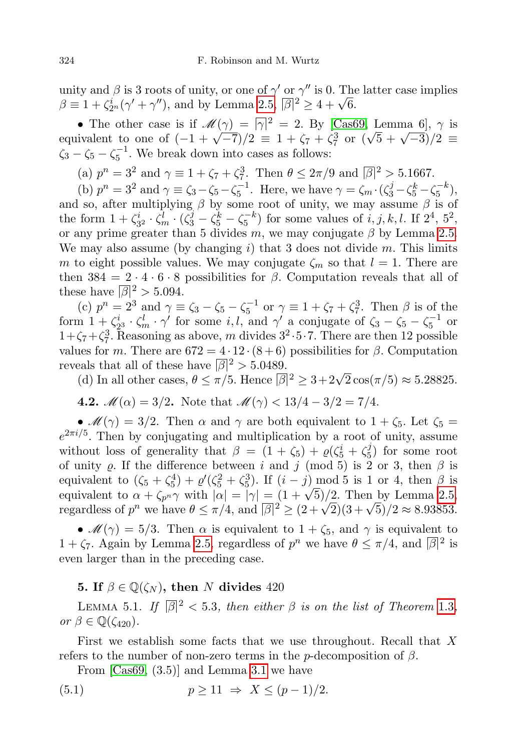unity and  $\beta$  is 3 roots of unity, or one of  $\gamma'$  or  $\gamma''$  is 0. The latter case implies unity and  $\beta$  is 3 roots of unity, or one of  $\gamma$  or  $\gamma$  is 0. 1 no<br>  $\beta \equiv 1 + \zeta_{2^n}^i(\gamma' + \gamma'')$ , and by Lemma [2.5,](#page-3-0)  $|\beta|^2 \ge 4 + \sqrt{6}$ .

• The other case is if  $\mathscr{M}(\gamma) = |\gamma|^2 = 2$ . By [\[Cas69,](#page-15-2) Lemma 6],  $\gamma$  is • The other case is if  $\mathcal{M}(\gamma) = |\gamma|$ <sup>-</sup> = 2. By [Casb9, Lemma 0],  $\gamma$  is<br>equivalent to one of  $(-1 + \sqrt{-7})/2 \equiv 1 + \zeta_7 + \zeta_7^3$  or  $(\sqrt{5} + \sqrt{-3})/2 \equiv$  $\zeta_3 - \zeta_5 - \zeta_5^{-1}$ . We break down into cases as follows:

(a)  $p^{n} = 3^{2}$  and  $\gamma \equiv 1 + \zeta_{7} + \zeta_{7}^{3}$ . Then  $\theta \leq 2\pi/9$  and  $|\beta|^{2} > 5.1667$ .

(b)  $p^n = 3^2$  and  $\gamma \equiv \zeta_3 - \zeta_5 - \zeta_5^{-1}$ . Here, we have  $\gamma = \zeta_m \cdot (\zeta_3^j - \zeta_5^k - \zeta_5^{-k})$ , and so, after multiplying  $\beta$  by some root of unity, we may assume  $\beta$  is of the form  $1 + \zeta_{32}^i \cdot \zeta_m^j \cdot (\zeta_3^j - \zeta_5^k - \zeta_5^{-k})$  for some values of  $i, j, k, l$ . If  $2^4$ ,  $5^2$ , or any prime greater than 5 divides m, we may conjugate  $\beta$  by Lemma [2.5.](#page-3-0) We may also assume (by changing i) that 3 does not divide m. This limits m to eight possible values. We may conjugate  $\zeta_m$  so that  $l = 1$ . There are then  $384 = 2 \cdot 4 \cdot 6 \cdot 8$  possibilities for  $\beta$ . Computation reveals that all of these have  $\sqrt{\beta}$ <sup>2</sup> > 5.094.

(c)  $p^{n} = 2^{3}$  and  $\gamma \equiv \zeta_{3} - \zeta_{5} - \zeta_{5}^{-1}$  or  $\gamma \equiv 1 + \zeta_{7} + \zeta_{7}^{3}$ . Then  $\beta$  is of the form  $1 + \zeta_{23}^i \cdot \zeta_m^l \cdot \gamma'$  for some i, l, and  $\gamma'$  a conjugate of  $\zeta_3 - \zeta_5 - \zeta_5^{-1}$  or  $1+\zeta_7+\zeta_7^3$ . Reasoning as above, m divides  $3^2 \cdot 5 \cdot 7$ . There are then 12 possible values for m. There are  $672 = 4 \cdot 12 \cdot (8 + 6)$  possibilities for  $\beta$ . Computation reveals that all of these have  $\sqrt{\beta}$ <sup>2</sup> > 5.0489.

ears that all of these nave  $|\beta|^2 > 5.0489$ .<br>(d) In all other cases,  $\theta \le \pi/5$ . Hence  $|\beta|^2 \ge 3 + 2\sqrt{2}\cos(\pi/5) \approx 5.28825$ .

4.2.  $\mathcal{M}(\alpha) = 3/2$ . Note that  $\mathcal{M}(\gamma) < 13/4 - 3/2 = 7/4$ .

•  $\mathcal{M}(\gamma) = 3/2$ . Then  $\alpha$  and  $\gamma$  are both equivalent to  $1 + \zeta_5$ . Let  $\zeta_5 =$  $e^{2\pi i/5}$ . Then by conjugating and multiplication by a root of unity, assume without loss of generality that  $\beta = (1 + \zeta_5) + \varrho(\zeta_5^i + \zeta_5^j)$  $\binom{3}{5}$  for some root of unity  $\varrho$ . If the difference between i and j (mod 5) is 2 or 3, then  $\beta$  is equivalent to  $(\zeta_5 + \zeta_5^4) + \varrho'(\zeta_5^2 + \zeta_5^3)$ . If  $(i - j) \mod 5$  is 1 or 4, then  $\beta$  is equivalent to  $(s_5 + s_5) + \varrho(s_5 + s_5)$ . If  $(i - j)$  mod 5 is 1 or 4, then  $\beta$  is<br>equivalent to  $\alpha + \zeta_{p^n} \gamma$  with  $|\alpha| = |\gamma| = (1 + \sqrt{5})/2$ . Then by Lemma [2.5,](#page-3-0) equivalent to  $\alpha + \zeta_{p^n} \gamma$  with  $|\alpha| = |\gamma| = (1 + \sqrt{9})/2$ . Then by Lemma 2.5,<br>regardless of  $p^n$  we have  $\theta \le \pi/4$ , and  $|\beta|^2 \ge (2 + \sqrt{2})(3 + \sqrt{5})/2 \approx 8.93853$ .

•  $\mathcal{M}(\gamma) = 5/3$ . Then  $\alpha$  is equivalent to  $1 + \zeta_5$ , and  $\gamma$  is equivalent to  $1 + \zeta_7$ . Again by Lemma [2.5,](#page-3-0) regardless of  $p^n$  we have  $\theta \leq \pi/4$ , and  $|\beta|^2$  is even larger than in the preceding case.

## 5. If  $\beta \in \mathbb{Q}(\zeta_N)$ , then N divides 420

LEMMA 5.1. If  $\lvert \overline{\beta} \rvert^2 < 5.3$ , then either  $\beta$  is on the list of Theorem [1.3](#page-0-1), or  $\beta \in \mathbb{Q}(\zeta_{420})$ .

First we establish some facts that we use throughout. Recall that X refers to the number of non-zero terms in the p-decomposition of  $\beta$ .

<span id="page-7-0"></span>From [\[Cas69,](#page-15-2) (3.5)] and Lemma [3.1](#page-4-0) we have

(5.1) 
$$
p \ge 11 \Rightarrow X \le (p-1)/2.
$$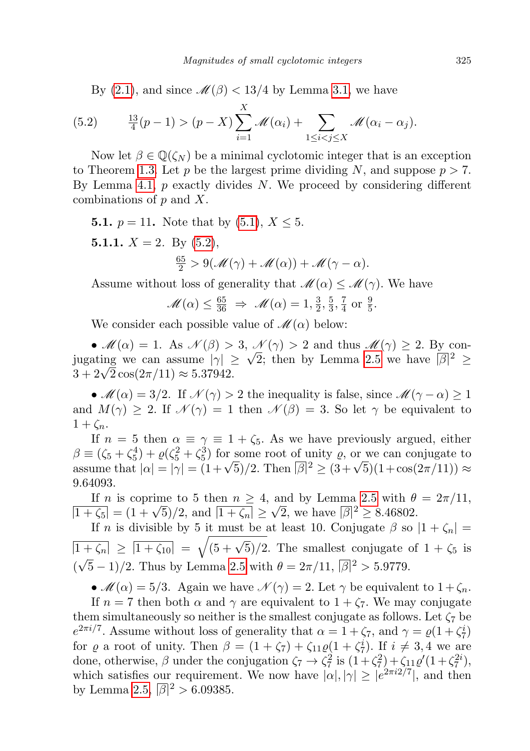<span id="page-8-0"></span>By [\(2.1\)](#page-2-1), and since  $\mathcal{M}(\beta) < 13/4$  by Lemma [3.1,](#page-4-0) we have

(5.2) 
$$
\frac{13}{4}(p-1) > (p-X)\sum_{i=1}^X \mathcal{M}(\alpha_i) + \sum_{1 \leq i < j \leq X} \mathcal{M}(\alpha_i - \alpha_j).
$$

Now let  $\beta \in \mathbb{Q}(\zeta_N)$  be a minimal cyclotomic integer that is an exception to Theorem [1.3.](#page-0-1) Let p be the largest prime dividing N, and suppose  $p > 7$ . By Lemma [4.1,](#page-6-0)  $p$  exactly divides N. We proceed by considering different combinations of  $p$  and  $X$ .

**5.1.**  $p = 11$ . Note that by [\(5.1\)](#page-7-0),  $X \le 5$ .

<span id="page-8-1"></span>5.1.1.  $X = 2$ . By [\(5.2\)](#page-8-0),  $\frac{65}{2} > 9(\mathcal{M}(\gamma) + \mathcal{M}(\alpha)) + \mathcal{M}(\gamma - \alpha).$ 

Assume without loss of generality that  $\mathcal{M}(\alpha) \leq \mathcal{M}(\gamma)$ . We have

$$
\mathscr{M}(\alpha) \leq \frac{65}{36} \Rightarrow \mathscr{M}(\alpha) = 1, \frac{3}{2}, \frac{5}{3}, \frac{7}{4} \text{ or } \frac{9}{5}.
$$

We consider each possible value of  $\mathcal{M}(\alpha)$  below:

•  $\mathcal{M}(\alpha) = 1$ . As  $\mathcal{N}(\beta) > 3$ ,  $\mathcal{N}(\gamma) > 2$  and thus  $\mathcal{M}(\gamma) \geq 2$ . By con-•  $M(\alpha) = 1$ . As  $N(\beta) > 3$ ,  $N(\gamma) > 2$  and thus  $M(\gamma) \ge 2$ . By con-<br>jugating we can assume  $|\gamma| \ge \sqrt{2}$ ; then by Lemma [2.5](#page-3-0) we have  $|\beta|^2 \ge$ jugating we can assume  $|\gamma|$   $\ge$  3 + 2 $\sqrt{2}\cos(2\pi/11) \approx 5.37942$ .

•  $\mathcal{M}(\alpha) = 3/2$ . If  $\mathcal{N}(\gamma) > 2$  the inequality is false, since  $\mathcal{M}(\gamma - \alpha) \geq 1$ and  $M(\gamma) \geq 2$ . If  $\mathcal{N}(\gamma) = 1$  then  $\mathcal{N}(\beta) = 3$ . So let  $\gamma$  be equivalent to  $1 + \zeta_n$ .

If  $n = 5$  then  $\alpha \equiv \gamma \equiv 1 + \zeta_5$ . As we have previously argued, either  $\beta \equiv (\zeta_5 + \zeta_5^4) + \varrho(\zeta_5^2 + \zeta_5^3)$  for some root of unity  $\varrho$ , or we can conjugate to  $\beta \equiv (\zeta_5 + \zeta_5) + \varrho(\zeta_5 + \zeta_5)$  for some root of unity  $\varrho$ , or we can conjugate to assume that  $|\alpha| = |\gamma| = (1 + \sqrt{5})/2$ . Then  $|\overline{\beta}|^2 \geq (3 + \sqrt{5})(1 + \cos(2\pi/11)) \approx$ 9.64093.

If n is coprime to 5 then  $n \geq 4$ , and by Lemma [2.5](#page-3-0) with  $\theta = 2\pi/11$ , If *n* is coprime to 5 then  $n \geq 4$ <br> $\frac{1+\zeta_5}{1+\zeta_n} = \frac{1+\sqrt{5}}{2}$ , and  $\frac{1+\zeta_n}{2} \geq$ √ 2, we have  $\sqrt{\beta}$ <sup>2</sup>  $\geq$  8.46802.

If n is divisible by 5 it must be at least 10. Conjugate  $\beta$  so  $|1 + \zeta_n|$  =  $\frac{1 + \zeta_n}{1 + \zeta_n} \geq \frac{1 + \zeta_{10}}{1 + \zeta_{10}} = \sqrt{(5 + \sqrt{5})/2}$ . The smallest conjugate of  $1 + \zeta_5$  is  $(\sqrt{5}-1)/2$ . Thus by Lemma [2.5](#page-3-0) with  $\theta = 2\pi/11$ ,  $|\overline{\beta}|^2 > 5.9779$ .

•  $\mathcal{M}(\alpha) = 5/3$ . Again we have  $\mathcal{N}(\gamma) = 2$ . Let  $\gamma$  be equivalent to  $1 + \zeta_n$ .

If  $n = 7$  then both  $\alpha$  and  $\gamma$  are equivalent to  $1 + \zeta_7$ . We may conjugate them simultaneously so neither is the smallest conjugate as follows. Let  $\zeta_7$  be  $e^{2\pi i/7}$ . Assume without loss of generality that  $\alpha = 1 + \zeta_7$ , and  $\gamma = \varrho(1 + \zeta_7^i)$ for  $\varrho$  a root of unity. Then  $\beta = (1 + \zeta_7) + \zeta_{11}\varrho(1 + \zeta_7^i)$ . If  $i \neq 3, 4$  we are done, otherwise,  $\beta$  under the conjugation  $\zeta_7 \to \zeta_7^2$  is  $(1+\zeta_7^2) + \zeta_{11}\varrho'(1+\zeta_7^{2i}),$ which satisfies our requirement. We now have  $|\alpha|, |\gamma| \ge |e^{2\pi i 2/7}|$ , and then by Lemma [2.5,](#page-3-0)  $\sqrt{\beta}$ <sup>2</sup> > 6.09385.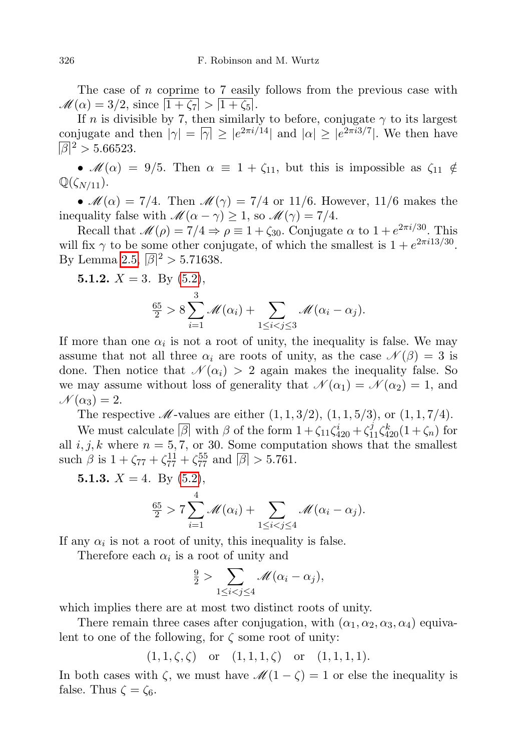The case of n coprime to 7 easily follows from the previous case with  $M(\alpha) = 3/2$ , since  $\overline{1 + \zeta_7} > \overline{1 + \zeta_5}$ .

If n is divisible by 7, then similarly to before, conjugate  $\gamma$  to its largest conjugate and then  $|\gamma| = |\gamma| \ge |e^{2\pi i/14}|$  and  $|\alpha| \ge |e^{2\pi i/7}|$ . We then have  $\overline{\beta}$ <sup>2</sup> > 5.66523.

•  $\mathcal{M}(\alpha) = 9/5$ . Then  $\alpha \equiv 1 + \zeta_{11}$ , but this is impossible as  $\zeta_{11} \notin$  $\mathbb{Q}(\zeta_{N/11}).$ 

•  $\mathcal{M}(\alpha) = 7/4$ . Then  $\mathcal{M}(\gamma) = 7/4$  or 11/6. However, 11/6 makes the inequality false with  $\mathcal{M}(\alpha - \gamma) \geq 1$ , so  $\mathcal{M}(\gamma) = 7/4$ .

Recall that  $\mathcal{M}(\rho) = 7/4 \Rightarrow \rho \equiv 1 + \zeta_{30}$ . Conjugate  $\alpha$  to  $1 + e^{2\pi i/30}$ . This will fix  $\gamma$  to be some other conjugate, of which the smallest is  $1 + e^{2\pi i/3/30}$ . By Lemma [2.5,](#page-3-0)  $\sqrt{\beta}$ <sup>2</sup> > 5.71638.

**5.1.2.** 
$$
X = 3
$$
. By (5.2),  
\n
$$
\frac{65}{2} > 8 \sum_{i=1}^{3} \mathcal{M}(\alpha_i) + \sum_{1 \leq i < j \leq 3} \mathcal{M}(\alpha_i - \alpha_j).
$$

If more than one  $\alpha_i$  is not a root of unity, the inequality is false. We may assume that not all three  $\alpha_i$  are roots of unity, as the case  $\mathcal{N}(\beta) = 3$  is done. Then notice that  $\mathcal{N}(\alpha_i) > 2$  again makes the inequality false. So we may assume without loss of generality that  $\mathcal{N}(\alpha_1) = \mathcal{N}(\alpha_2) = 1$ , and  $\mathcal{N}(\alpha_3)=2.$ 

The respective  $\mathcal{M}$ -values are either  $(1, 1, 3/2), (1, 1, 5/3),$  or  $(1, 1, 7/4)$ .

We must calculate  $\boxed{\beta}$  with  $\beta$  of the form  $1 + \zeta_{11}\zeta_{420}^i + \zeta_{11}^j\zeta_{420}^k(1 + \zeta_n)$  for all  $i, j, k$  where  $n = 5, 7$ , or 30. Some computation shows that the smallest such  $\beta$  is  $1 + \zeta_{77} + \zeta_{77}^{11} + \zeta_{77}^{55}$  and  $|\beta| > 5.761$ .

5.1.3.  $X = 4$ . By [\(5.2\)](#page-8-0),

$$
\frac{65}{2} > 7 \sum_{i=1}^{4} \mathcal{M}(\alpha_i) + \sum_{1 \leq i < j \leq 4} \mathcal{M}(\alpha_i - \alpha_j).
$$

If any  $\alpha_i$  is not a root of unity, this inequality is false.

Therefore each  $\alpha_i$  is a root of unity and

$$
\frac{9}{2} > \sum_{1 \leq i < j \leq 4} \mathcal{M}(\alpha_i - \alpha_j),
$$

which implies there are at most two distinct roots of unity.

There remain three cases after conjugation, with  $(\alpha_1, \alpha_2, \alpha_3, \alpha_4)$  equivalent to one of the following, for  $\zeta$  some root of unity:

 $(1, 1, \zeta, \zeta)$  or  $(1, 1, 1, \zeta)$  or  $(1, 1, 1, 1).$ 

In both cases with  $\zeta$ , we must have  $\mathcal{M}(1-\zeta)=1$  or else the inequality is false. Thus  $\zeta = \zeta_6$ .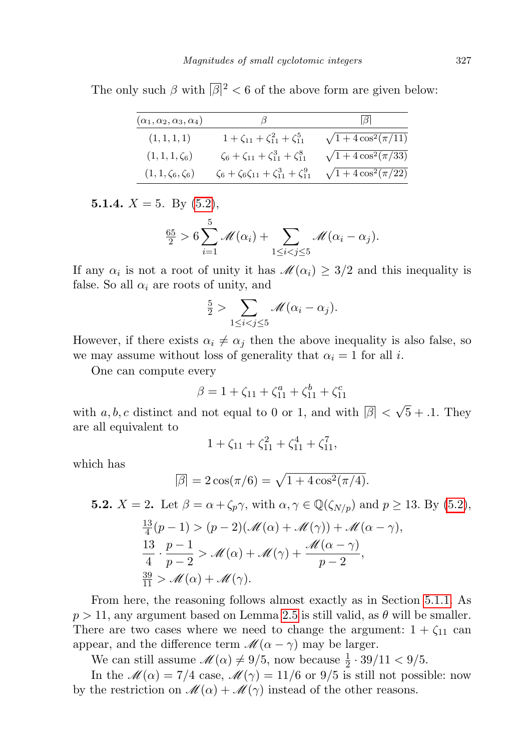The only such  $\beta$  with  $\beta$ <sup>2</sup> < 6 of the above form are given below:

| $(\alpha_1,\alpha_2,\alpha_3,\alpha_4)$ | J                                                            | 16 I                       |
|-----------------------------------------|--------------------------------------------------------------|----------------------------|
| (1, 1, 1, 1)                            | $1 + \zeta_{11} + \zeta_{11}^2 + \zeta_{11}^5$               | $\sqrt{1+4\cos^2(\pi/11)}$ |
| $(1, 1, 1, \zeta_6)$                    | $\zeta_6 + \zeta_{11} + \zeta_{11}^3 + \zeta_{11}^8$         | $\sqrt{1+4\cos^2(\pi/33)}$ |
| $(1, 1, \zeta_6, \zeta_6)$              | $\zeta_6 + \zeta_6 \zeta_{11} + \zeta_{11}^3 + \zeta_{11}^9$ | $\sqrt{1+4\cos^2(\pi/22)}$ |

<span id="page-10-0"></span>5.1.4.  $X = 5$ . By  $(5.2)$ ,

$$
\frac{65}{2} > 6\sum_{i=1}^{5} \mathcal{M}(\alpha_i) + \sum_{1 \leq i < j \leq 5} \mathcal{M}(\alpha_i - \alpha_j).
$$

If any  $\alpha_i$  is not a root of unity it has  $\mathscr{M}(\alpha_i) \geq 3/2$  and this inequality is false. So all  $\alpha_i$  are roots of unity, and

$$
\frac{5}{2} > \sum_{1 \leq i < j \leq 5} \mathcal{M}(\alpha_i - \alpha_j).
$$

However, if there exists  $\alpha_i \neq \alpha_j$  then the above inequality is also false, so we may assume without loss of generality that  $\alpha_i = 1$  for all *i*.

One can compute every

$$
\beta = 1 + \zeta_{11} + \zeta_{11}^a + \zeta_{11}^b + \zeta_{11}^c
$$

with  $a, b, c$  distinct and not equal to 0 or 1, and with  $|\beta| < \sqrt{5} + 0.1$ . They are all equivalent to

$$
1 + \zeta_{11} + \zeta_{11}^2 + \zeta_{11}^4 + \zeta_{11}^7,
$$

which has

$$
\overline{\beta}| = 2\cos(\pi/6) = \sqrt{1 + 4\cos^2(\pi/4)}.
$$

**5.2.** 
$$
X = 2
$$
. Let  $\beta = \alpha + \zeta_p \gamma$ , with  $\alpha, \gamma \in \mathbb{Q}(\zeta_{N/p})$  and  $p \ge 13$ . By (5.2),  
\n
$$
\frac{13}{4}(p-1) > (p-2)(\mathcal{M}(\alpha) + \mathcal{M}(\gamma)) + \mathcal{M}(\alpha - \gamma),
$$
\n
$$
\frac{13}{4} \cdot \frac{p-1}{p-2} > \mathcal{M}(\alpha) + \mathcal{M}(\gamma) + \frac{\mathcal{M}(\alpha - \gamma)}{p-2},
$$
\n
$$
\frac{39}{11} > \mathcal{M}(\alpha) + \mathcal{M}(\gamma).
$$

From here, the reasoning follows almost exactly as in Section [5.1.1.](#page-8-1) As  $p > 11$ , any argument based on Lemma [2.5](#page-3-0) is still valid, as  $\theta$  will be smaller. There are two cases where we need to change the argument:  $1 + \zeta_{11}$  can appear, and the difference term  $\mathcal{M}(\alpha - \gamma)$  may be larger.

We can still assume  $\mathcal{M}(\alpha) \neq 9/5$ , now because  $\frac{1}{2} \cdot 39/11 < 9/5$ .

In the  $\mathcal{M}(\alpha) = 7/4$  case,  $\mathcal{M}(\gamma) = 11/6$  or 9/5 is still not possible: now by the restriction on  $\mathcal{M}(\alpha) + \mathcal{M}(\gamma)$  instead of the other reasons.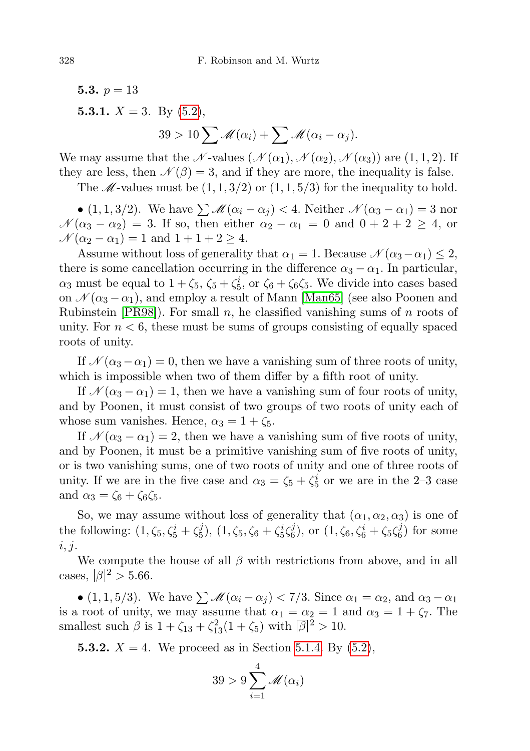5.3.  $p = 13$ 5.3.1.  $X = 3$ . By  $(5.2)$ ,  $39 > 10 \sum \mathcal{M}(\alpha_i) + \sum \mathcal{M}(\alpha_i - \alpha_j).$ 

We may assume that the N-values  $(\mathcal{N}(\alpha_1), \mathcal{N}(\alpha_2), \mathcal{N}(\alpha_3))$  are  $(1, 1, 2)$ . If they are less, then  $\mathcal{N}(\beta) = 3$ , and if they are more, the inequality is false.

The  $\mathcal{M}$ -values must be  $(1, 1, 3/2)$  or  $(1, 1, 5/3)$  for the inequality to hold.

• (1, 1, 3/2). We have  $\sum M(\alpha_i - \alpha_j) < 4$ . Neither  $\mathcal{N}(\alpha_3 - \alpha_1) = 3$  nor  $\mathcal{N}(\alpha_3 - \alpha_2) = 3$ . If so, then either  $\alpha_2 - \alpha_1 = 0$  and  $0 + 2 + 2 \ge 4$ , or  $\mathcal{N}(\alpha_2 - \alpha_1) = 1$  and  $1 + 1 + 2 \geq 4$ .

Assume without loss of generality that  $\alpha_1 = 1$ . Because  $\mathcal{N}(\alpha_3 - \alpha_1) \leq 2$ , there is some cancellation occurring in the difference  $\alpha_3 - \alpha_1$ . In particular,  $\alpha_3$  must be equal to  $1 + \zeta_5$ ,  $\zeta_5 + \zeta_5^i$ , or  $\zeta_6 + \zeta_6\zeta_5$ . We divide into cases based on  $\mathcal{N}(\alpha_3 - \alpha_1)$ , and employ a result of Mann [\[Man65\]](#page-15-11) (see also Poonen and Rubinstein  $[PRO8]$ . For small n, he classified vanishing sums of n roots of unity. For  $n < 6$ , these must be sums of groups consisting of equally spaced roots of unity.

If  $\mathcal{N}(\alpha_3 - \alpha_1) = 0$ , then we have a vanishing sum of three roots of unity, which is impossible when two of them differ by a fifth root of unity.

If  $\mathcal{N}(\alpha_3 - \alpha_1) = 1$ , then we have a vanishing sum of four roots of unity, and by Poonen, it must consist of two groups of two roots of unity each of whose sum vanishes. Hence,  $\alpha_3 = 1 + \zeta_5$ .

If  $\mathcal{N}(\alpha_3 - \alpha_1) = 2$ , then we have a vanishing sum of five roots of unity, and by Poonen, it must be a primitive vanishing sum of five roots of unity, or is two vanishing sums, one of two roots of unity and one of three roots of unity. If we are in the five case and  $\alpha_3 = \zeta_5 + \zeta_5^i$  or we are in the 2-3 case and  $\alpha_3 = \zeta_6 + \zeta_6 \zeta_5$ .

So, we may assume without loss of generality that  $(\alpha_1, \alpha_2, \alpha_3)$  is one of the following:  $(1, \zeta_5, \zeta_5^i + \zeta_5^j)$  $(\frac{1}{5}), (\frac{1}{5}, \zeta_5, \zeta_6 + \zeta_5^i \zeta_6^j)$  $(\frac{i}{6}), \text{ or } (1, \zeta_6, \zeta_6^i + \zeta_5 \zeta_6^j)$  $\binom{.0}{6}$  for some  $i, j.$ 

We compute the house of all  $\beta$  with restrictions from above, and in all cases,  $\lvert \beta \rvert^2 > 5.66$ .

• (1, 1, 5/3). We have  $\sum \mathcal{M}(\alpha_i - \alpha_j) < 7/3$ . Since  $\alpha_1 = \alpha_2$ , and  $\alpha_3 - \alpha_1$ is a root of unity, we may assume that  $\alpha_1 = \alpha_2 = 1$  and  $\alpha_3 = 1 + \zeta_7$ . The smallest such  $\beta$  is  $1 + \zeta_{13} + \zeta_{13}^2(1 + \zeta_5)$  with  $|\beta|^2 > 10$ .

**5.3.2.**  $X = 4$ . We proceed as in Section [5.1.4.](#page-10-0) By  $(5.2)$ ,

$$
39 > 9 \sum_{i=1}^{4} \mathcal{M}(\alpha_i)
$$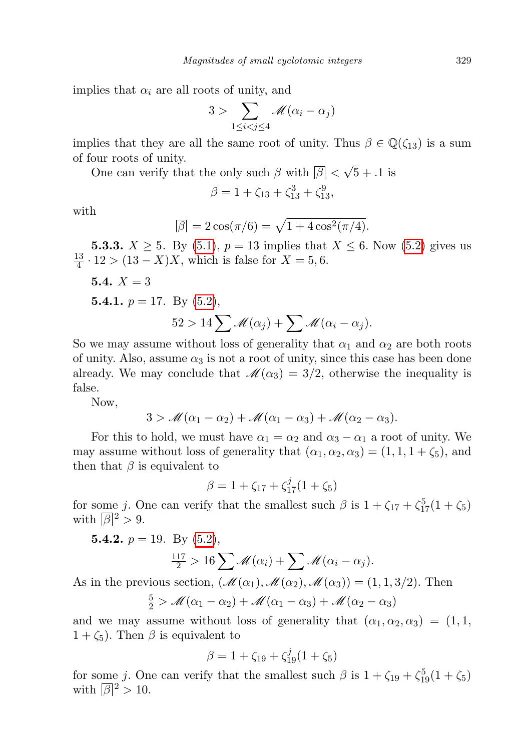implies that  $\alpha_i$  are all roots of unity, and

$$
3 > \sum_{1 \leq i < j \leq 4} \mathcal{M}(\alpha_i - \alpha_j)
$$

implies that they are all the same root of unity. Thus  $\beta \in \mathbb{Q}(\zeta_{13})$  is a sum of four roots of unity.

One can verify that the only such  $\beta$  with  $\lvert \beta \rvert < \sqrt{5} + 0.1$  is

$$
\beta = 1 + \zeta_{13} + \zeta_{13}^3 + \zeta_{13}^9,
$$

with

$$
\overline{\beta} = 2\cos(\pi/6) = \sqrt{1 + 4\cos^2(\pi/4)}.
$$

**5.3.3.**  $X \ge 5$ . By [\(5.1\)](#page-7-0),  $p = 13$  implies that  $X \le 6$ . Now [\(5.2\)](#page-8-0) gives us 13  $\frac{13}{4} \cdot 12 > (13 - X)X$ , which is false for  $X = 5, 6$ .

**5.4.** 
$$
X = 3
$$
  
**5.4.1.**  $p = 17$ . By (5.2),  
 $52 > 14 \sum \mathcal{M}(\alpha_j) + \sum \mathcal{M}(\alpha_i - \alpha_j)$ .

So we may assume without loss of generality that  $\alpha_1$  and  $\alpha_2$  are both roots of unity. Also, assume  $\alpha_3$  is not a root of unity, since this case has been done already. We may conclude that  $\mathcal{M}(\alpha_3) = 3/2$ , otherwise the inequality is false.

Now,

$$
3 > \mathcal{M}(\alpha_1 - \alpha_2) + \mathcal{M}(\alpha_1 - \alpha_3) + \mathcal{M}(\alpha_2 - \alpha_3).
$$

For this to hold, we must have  $\alpha_1 = \alpha_2$  and  $\alpha_3 - \alpha_1$  a root of unity. We may assume without loss of generality that  $(\alpha_1, \alpha_2, \alpha_3) = (1, 1, 1 + \zeta_5)$ , and then that  $\beta$  is equivalent to

$$
\beta = 1 + \zeta_{17} + \zeta_{17}^j (1 + \zeta_5)
$$

for some j. One can verify that the smallest such  $\beta$  is  $1 + \zeta_{17} + \zeta_{17}^5(1 + \zeta_5)$ with  $|\overline{\beta}|^2 > 9$ .

**5.4.2.** 
$$
p = 19
$$
. By (5.2),

$$
\frac{117}{2} > 16 \sum \mathcal{M}(\alpha_i) + \sum \mathcal{M}(\alpha_i - \alpha_j).
$$

As in the previous section,  $(\mathcal{M}(\alpha_1),\mathcal{M}(\alpha_2),\mathcal{M}(\alpha_3)) = (1,1,3/2)$ . Then

$$
\frac{5}{2} > \mathcal{M}(\alpha_1 - \alpha_2) + \mathcal{M}(\alpha_1 - \alpha_3) + \mathcal{M}(\alpha_2 - \alpha_3)
$$

and we may assume without loss of generality that  $(\alpha_1, \alpha_2, \alpha_3) = (1, 1,$  $1 + \zeta_5$ ). Then  $\beta$  is equivalent to

$$
\beta = 1 + \zeta_{19} + \zeta_{19}^j (1 + \zeta_5)
$$

for some j. One can verify that the smallest such  $\beta$  is  $1 + \zeta_{19} + \zeta_{19}^5(1 + \zeta_5)$ with  $|\overline{\beta}|^2 > 10$ .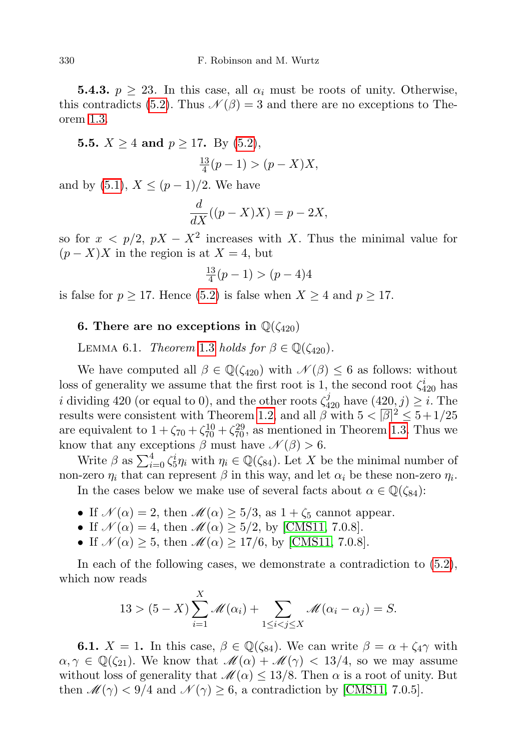**5.4.3.**  $p \geq 23$ . In this case, all  $\alpha_i$  must be roots of unity. Otherwise, this contradicts [\(5.2\)](#page-8-0). Thus  $\mathcal{N}(\beta) = 3$  and there are no exceptions to Theorem [1.3.](#page-0-1)

**5.5.**  $X \ge 4$  and  $p \ge 17$ . By [\(5.2\)](#page-8-0),

$$
\frac{13}{4}(p-1) > (p-X)X,
$$

and by  $(5.1), X \leq (p-1)/2$  $(5.1), X \leq (p-1)/2$ . We have

$$
\frac{d}{dX}((p-X)X) = p - 2X,
$$

so for  $x < p/2$ ,  $pX - X^2$  increases with X. Thus the minimal value for  $(p - X)X$  in the region is at  $X = 4$ , but

$$
\frac{13}{4}(p-1) > (p-4)4
$$

is false for  $p \ge 17$ . Hence [\(5.2\)](#page-8-0) is false when  $X \ge 4$  and  $p \ge 17$ .

### 6. There are no exceptions in  $\mathbb{Q}(\zeta_{420})$

LEMMA 6.1. Theorem [1.3](#page-0-1) holds for  $\beta \in \mathbb{Q}(\zeta_{420})$ .

We have computed all  $\beta \in \mathbb{Q}(\zeta_{420})$  with  $\mathcal{N}(\beta) \leq 6$  as follows: without loss of generality we assume that the first root is 1, the second root  $\zeta_{420}^i$  has *i* dividing 420 (or equal to 0), and the other roots  $\zeta_{420}^j$  have  $(420, j) \geq i$ . The results were consistent with Theorem [1.2,](#page-0-0) and all  $\beta$  with  $5 < |\beta|^2 \le 5 + 1/25$ are equivalent to  $1 + \zeta_{70} + \zeta_{70}^{10} + \zeta_{70}^{29}$ , as mentioned in Theorem [1.3.](#page-0-1) Thus we know that any exceptions  $\beta$  must have  $\mathcal{N}(\beta) > 6$ .

Write  $\beta$  as  $\sum_{i=0}^{4} \zeta_5^i \eta_i$  with  $\eta_i \in \mathbb{Q}(\zeta_{84})$ . Let X be the minimal number of non-zero  $\eta_i$  that can represent  $\beta$  in this way, and let  $\alpha_i$  be these non-zero  $\eta_i$ .

In the cases below we make use of several facts about  $\alpha \in \mathbb{Q}(\zeta_{84})$ :

- If  $\mathcal{N}(\alpha) = 2$ , then  $\mathcal{M}(\alpha) \geq 5/3$ , as  $1 + \zeta_5$  cannot appear.
- If  $\mathcal{N}(\alpha) = 4$ , then  $\mathcal{M}(\alpha) \ge 5/2$ , by [\[CMS11,](#page-15-5) 7.0.8].

 $\mathbf{v}$ 

• If  $\mathcal{N}(\alpha) \geq 5$ , then  $\mathcal{M}(\alpha) \geq 17/6$ , by [\[CMS11,](#page-15-5) 7.0.8].

In each of the following cases, we demonstrate a contradiction to [\(5.2\)](#page-8-0), which now reads

$$
13 > (5 - X) \sum_{i=1}^{X} \mathcal{M}(\alpha_i) + \sum_{1 \leq i < j \leq X} \mathcal{M}(\alpha_i - \alpha_j) = S.
$$

**6.1.**  $X = 1$ . In this case,  $\beta \in \mathbb{Q}(\zeta_{84})$ . We can write  $\beta = \alpha + \zeta_4 \gamma$  with  $\alpha, \gamma \in \mathbb{Q}(\zeta_{21})$ . We know that  $\mathcal{M}(\alpha) + \mathcal{M}(\gamma) < 13/4$ , so we may assume without loss of generality that  $\mathcal{M}(\alpha) \leq 13/8$ . Then  $\alpha$  is a root of unity. But then  $\mathcal{M}(\gamma) < 9/4$  and  $\mathcal{N}(\gamma) \geq 6$ , a contradiction by [\[CMS11,](#page-15-5) 7.0.5].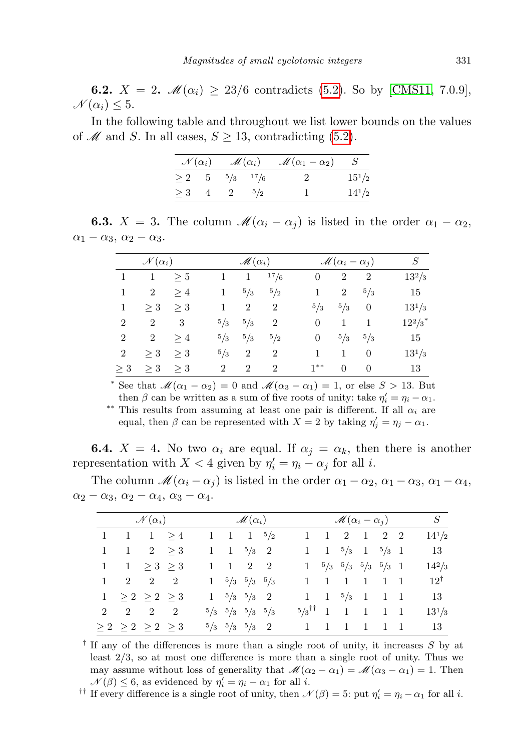**6.2.**  $X = 2$ .  $\mathcal{M}(\alpha_i) \geq 23/6$  contradicts [\(5.2\)](#page-8-0). So by [\[CMS11,](#page-15-5) 7.0.9],  $\mathcal{N}(\alpha_i) \leq 5.$ 

In the following table and throughout we list lower bounds on the values of M and S. In all cases,  $S \geq 13$ , contradicting [\(5.2\)](#page-8-0).

|                            |                               | $\mathcal{N}(\alpha_i)$ $\mathcal{M}(\alpha_i)$ $\mathcal{M}(\alpha_1 - \alpha_2)$ S |            |  |  |
|----------------------------|-------------------------------|--------------------------------------------------------------------------------------|------------|--|--|
|                            | $\geq 2$ 5 $\frac{5}{3}$ 17/6 | $\sim 2$                                                                             | $15^{1}/2$ |  |  |
| $\geq 3$ 4 2 $\frac{5}{2}$ |                               |                                                                                      | $14^{1}/2$ |  |  |

**6.3.**  $X = 3$ . The column  $\mathcal{M}(\alpha_i - \alpha_j)$  is listed in the order  $\alpha_1 - \alpha_2$ ,  $\alpha_1 - \alpha_3$ ,  $\alpha_2 - \alpha_3$ .

| $\mathcal{N}(\alpha_i)$ |                |       |                | $\mathscr{M}(\alpha_i)$ |                |                | $\mathscr{M}(\alpha_i-\alpha_j)$ |                |                       |  |  |
|-------------------------|----------------|-------|----------------|-------------------------|----------------|----------------|----------------------------------|----------------|-----------------------|--|--|
| 1                       | 1              | > 5   |                | 1                       | 17/6           | $\overline{0}$ | $\overline{2}$                   | $\overline{2}$ | $13^2/3$              |  |  |
| 1                       | $\overline{2}$ | >4    | 1              | 5/3                     | 5/2            | 1              | 2                                | 5/3            | 15                    |  |  |
| 1                       | $>$ 3          | >3    |                | $\overline{2}$          | $\overline{2}$ | 5/3            | 5/3                              | $\theta$       | $13^{1/3}$            |  |  |
| 2                       | $\overline{2}$ | 3     | 5/3            | 5/3                     | $\overline{2}$ | $\theta$       | 1                                | 1              | $12^2/3$ <sup>*</sup> |  |  |
| $\overline{2}$          | $\overline{2}$ | >4    | 5/3            | 5/3                     | 5/2            | $\overline{0}$ | 5/3                              | 5/3            | 15                    |  |  |
| 2                       | $>$ 3          | $>$ 3 | $^{5}/_{3}$    | 2                       | $\overline{2}$ |                | 1                                | $\theta$       | $13^{1/3}$            |  |  |
| $>$ 3                   | >3             | >3    | $\overline{2}$ | $\overline{2}$          | $\overline{2}$ | $1**$          | $\Omega$                         | $\theta$       | 13                    |  |  |

\* See that  $\mathcal{M}(\alpha_1 - \alpha_2) = 0$  and  $\mathcal{M}(\alpha_3 - \alpha_1) = 1$ , or else  $S > 13$ . But then  $\beta$  can be written as a sum of five roots of unity: take  $\eta'_i = \eta_i - \alpha_1$ .

<sup>\*\*</sup> This results from assuming at least one pair is different. If all  $\alpha_i$  are equal, then  $\beta$  can be represented with  $X = 2$  by taking  $\eta'_j = \eta_j - \alpha_1$ .

**6.4.**  $X = 4$ . No two  $\alpha_i$  are equal. If  $\alpha_j = \alpha_k$ , then there is another representation with  $X < 4$  given by  $\eta'_i = \eta_i - \alpha_j$  for all *i*.

The column  $\mathcal{M}(\alpha_i - \alpha_j)$  is listed in the order  $\alpha_1 - \alpha_2, \alpha_1 - \alpha_3, \alpha_1 - \alpha_4,$  $\alpha_2 - \alpha_3$ ,  $\alpha_2 - \alpha_4$ ,  $\alpha_3 - \alpha_4$ .

| $\mathscr{N}(\alpha_i)$ and $\mathscr{M}(\alpha_i)$ |                                     |  |  |  |                                         |  |  | $\mathscr{M}(\alpha_i-\alpha_j)$ |  |  |  |                                             |  | S              |
|-----------------------------------------------------|-------------------------------------|--|--|--|-----------------------------------------|--|--|----------------------------------|--|--|--|---------------------------------------------|--|----------------|
|                                                     | $1 \quad 1 \quad 1 > 4$             |  |  |  | 1 1 1 $\frac{5}{2}$                     |  |  |                                  |  |  |  | $1 \quad 1 \quad 2 \quad 1 \quad 2 \quad 2$ |  | $14^{1}/2$     |
|                                                     | $1 \qquad 1 \qquad 2 \qquad \geq 3$ |  |  |  | $1 \t1 \t5/3 \t2$                       |  |  |                                  |  |  |  | 1 1 $\frac{5}{3}$ 1 $\frac{5}{3}$ 1         |  | 13             |
|                                                     | $1 \quad 1 \geq 3 \geq 3$           |  |  |  | $1 \quad 1 \quad 2 \quad 2$             |  |  |                                  |  |  |  | $1 \t 5/3 \t 5/3 \t 5/3 \t 5/3 \t 1$        |  | $14^2/3$       |
|                                                     | $1 \quad 2 \quad 2 \quad 2$         |  |  |  | $1 \frac{5}{3} \frac{5}{3} \frac{5}{3}$ |  |  |                                  |  |  |  | $1 \quad 1 \quad 1 \quad 1 \quad 1 \quad 1$ |  | $12^{\dagger}$ |
|                                                     | $1 \geq 2 \geq 2 \geq 3$            |  |  |  | $1\quad 5/3\quad 5/3\quad 2$            |  |  |                                  |  |  |  | $1 \t1 \t5/3 \t1 \t1 \t1$                   |  | 13             |
|                                                     | $2 \quad 2 \quad 2 \quad 2$         |  |  |  | $5/3$ $5/3$ $5/3$ $5/3$                 |  |  | $5/3$ <sup>††</sup> 1 1 1 1 1    |  |  |  |                                             |  | $13^{1/3}$     |
|                                                     | $\geq 2$ $\geq 2$ $\geq 2$ $\geq 3$ |  |  |  | $5/3$ $5/3$ $5/3$ 2                     |  |  |                                  |  |  |  | 1 1 1 1 1 1                                 |  | 13             |

<sup>†</sup> If any of the differences is more than a single root of unity, it increases S by at least  $2/3$ , so at most one difference is more than a single root of unity. Thus we may assume without loss of generality that  $\mathcal{M}(\alpha_2 - \alpha_1) = \mathcal{M}(\alpha_3 - \alpha_1) = 1$ . Then  $\mathcal{N}(\beta) \leq 6$ , as evidenced by  $\eta'_i = \eta_i - \alpha_1$  for all *i*.

<sup>††</sup> If every difference is a single root of unity, then  $\mathcal{N}(\beta) = 5$ : put  $\eta'_i = \eta_i - \alpha_1$  for all *i*.